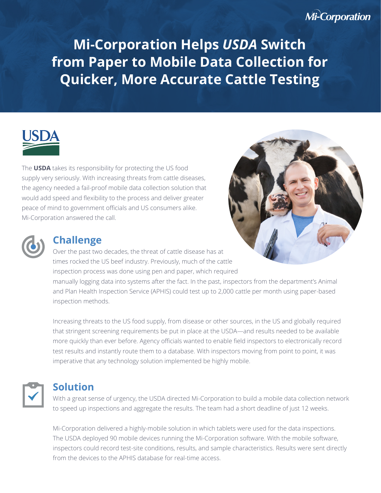# **Mi-Corporation**

**Mi-Corporation Helps** *USDA* **Switch from Paper to Mobile Data Collection for Quicker, More Accurate Cattle Testing** 

The **USDA** takes its responsibility for protecting the US food supply very seriously. With increasing threats from cattle diseases, the agency needed a fail-proof mobile data collection solution that would add speed and flexibility to the process and deliver greater peace of mind to government officials and US consumers alike. Mi-Corporation answered the call.



### **Challenge**

inspection methods.

Over the past two decades, the threat of cattle disease has at times rocked the US beef industry. Previously, much of the cattle inspection process was done using pen and paper, which required manually logging data into systems after the fact. In the past, inspectors from the department's Animal and Plan Health Inspection Service (APHIS) could test up to 2,000 cattle per month using paper-based

Increasing threats to the US food supply, from disease or other sources, in the US and globally required that stringent screening requirements be put in place at the USDA—and results needed to be available more quickly than ever before. Agency officials wanted to enable field inspectors to electronically record test results and instantly route them to a database. With inspectors moving from point to point, it was imperative that any technology solution implemented be highly mobile.



## **Solution**

With a great sense of urgency, the USDA directed Mi-Corporation to build a mobile data collection network to speed up inspections and aggregate the results. The team had a short deadline of just 12 weeks.

Mi-Corporation delivered a highly-mobile solution in which tablets were used for the data inspections. The USDA deployed 90 mobile devices running the Mi-Corporation software. With the mobile software, inspectors could record test-site conditions, results, and sample characteristics. Results were sent directly from the devices to the APHIS database for real-time access.